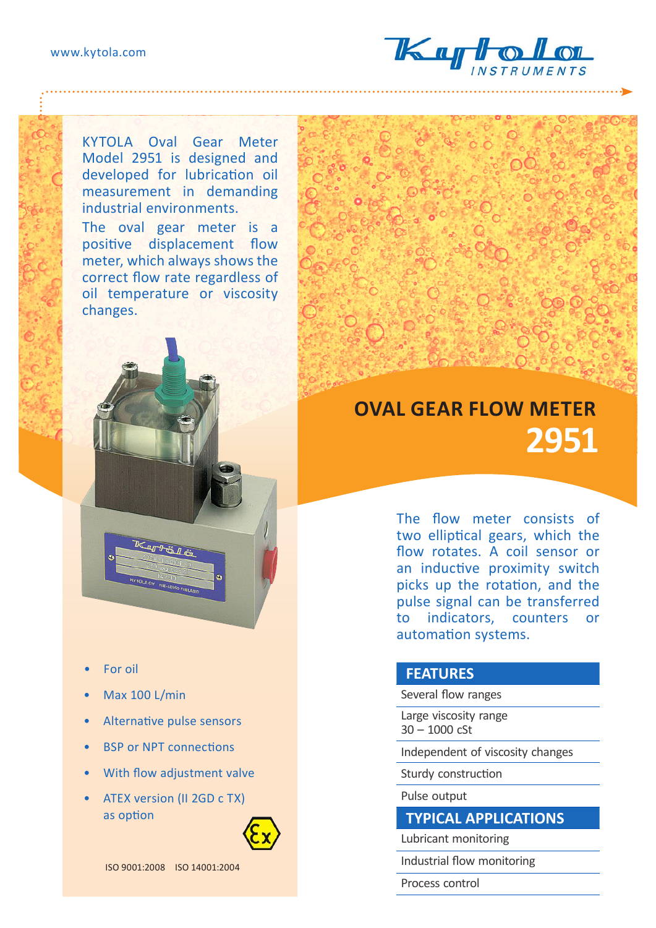

KYTOLA Oval Gear Meter Model 2951 is designed and developed for lubrication oil measurement in demanding industrial environments.

The oval gear meter is a positive displacement flow meter, which always shows the correct flow rate regardless of oil temperature or viscosity changes.



- For oil
- Max 100 L/min
- Alternative pulse sensors
- **BSP or NPT connections**
- With flow adjustment valve
- ATEX version (II 2GD c TX) as option

ISO 9001:2008 ISO 14001:2004

## **OVAL GEAR FLOW METER 2951**

The flow meter consists of two elliptical gears, which the flow rotates. A coil sensor or an inductive proximity switch picks up the rotation, and the pulse signal can be transferred to indicators, counters or automation systems.

## **FEATURES**

Several flow ranges

Large viscosity range 30 – 1000 cSt

Independent of viscosity changes

Sturdy construction

## Pulse output

## **TYPICAL APPLICATIONS**

Lubricant monitoring

Industrial flow monitoring

Process control